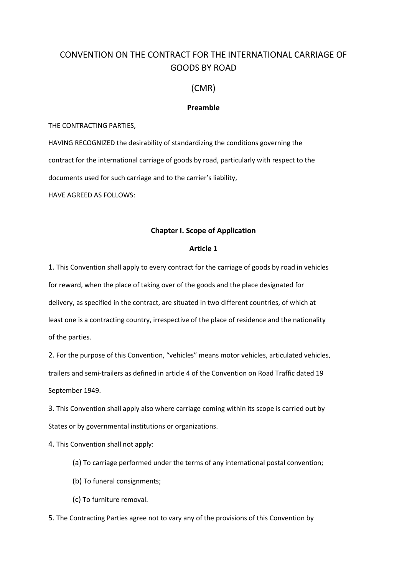# CONVENTION ON THE CONTRACT FOR THE INTERNATIONAL CARRIAGE OF GOODS BY ROAD

# (CMR)

# **Preamble**

### THE CONTRACTING PARTIES,

HAVING RECOGNIZED the desirability of standardizing the conditions governing the contract for the international carriage of goods by road, particularly with respect to the documents used for such carriage and to the carrier's liability,

HAVE AGREED AS FOLLOWS:

# **Chapter I. Scope of Application**

# **Article 1**

1. This Convention shall apply to every contract for the carriage of goods by road in vehicles for reward, when the place of taking over of the goods and the place designated for delivery, as specified in the contract, are situated in two different countries, of which at least one is a contracting country, irrespective of the place of residence and the nationality of the parties.

2. For the purpose of this Convention, "vehicles" means motor vehicles, articulated vehicles, trailers and semi-trailers as defined in article 4 of the Convention on Road Traffic dated 19 September 1949.

3. This Convention shall apply also where carriage coming within its scope is carried out by States or by governmental institutions or organizations.

4. This Convention shall not apply:

- (a) To carriage performed under the terms of any international postal convention;
- (b) To funeral consignments;
- (c) To furniture removal.

5. The Contracting Parties agree not to vary any of the provisions of this Convention by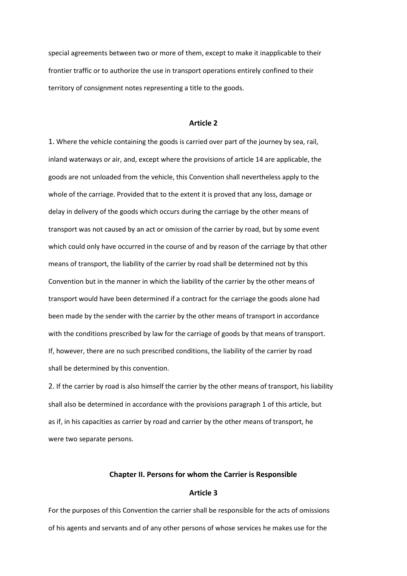special agreements between two or more of them, except to make it inapplicable to their frontier traffic or to authorize the use in transport operations entirely confined to their territory of consignment notes representing a title to the goods.

### **Article 2**

1. Where the vehicle containing the goods is carried over part of the journey by sea, rail, inland waterways or air, and, except where the provisions of article 14 are applicable, the goods are not unloaded from the vehicle, this Convention shall nevertheless apply to the whole of the carriage. Provided that to the extent it is proved that any loss, damage or delay in delivery of the goods which occurs during the carriage by the other means of transport was not caused by an act or omission of the carrier by road, but by some event which could only have occurred in the course of and by reason of the carriage by that other means of transport, the liability of the carrier by road shall be determined not by this Convention but in the manner in which the liability of the carrier by the other means of transport would have been determined if a contract for the carriage the goods alone had been made by the sender with the carrier by the other means of transport in accordance with the conditions prescribed by law for the carriage of goods by that means of transport. If, however, there are no such prescribed conditions, the liability of the carrier by road shall be determined by this convention.

2. If the carrier by road is also himself the carrier by the other means of transport, his liability shall also be determined in accordance with the provisions paragraph 1 of this article, but as if, in his capacities as carrier by road and carrier by the other means of transport, he were two separate persons.

### **Chapter II. Persons for whom the Carrier is Responsible**

# **Article 3**

For the purposes of this Convention the carrier shall be responsible for the acts of omissions of his agents and servants and of any other persons of whose services he makes use for the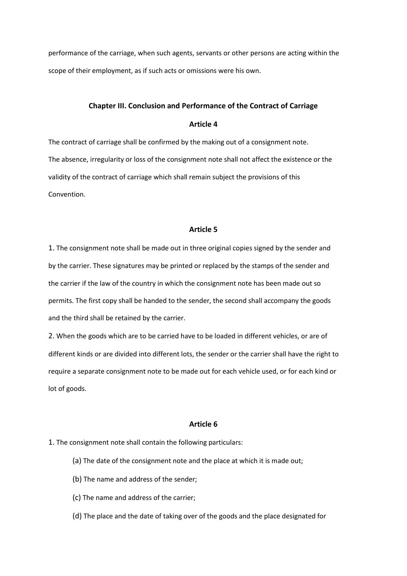performance of the carriage, when such agents, servants or other persons are acting within the scope of their employment, as if such acts or omissions were his own.

#### **Chapter III. Conclusion and Performance of the Contract of Carriage**

# **Article 4**

The contract of carriage shall be confirmed by the making out of a consignment note. The absence, irregularity or loss of the consignment note shall not affect the existence or the validity of the contract of carriage which shall remain subject the provisions of this Convention.

# **Article 5**

1. The consignment note shall be made out in three original copies signed by the sender and by the carrier. These signatures may be printed or replaced by the stamps of the sender and the carrier if the law of the country in which the consignment note has been made out so permits. The first copy shall be handed to the sender, the second shall accompany the goods and the third shall be retained by the carrier.

2. When the goods which are to be carried have to be loaded in different vehicles, or are of different kinds or are divided into different lots, the sender or the carrier shall have the right to require a separate consignment note to be made out for each vehicle used, or for each kind or lot of goods.

#### **Article 6**

- 1. The consignment note shall contain the following particulars:
	- (a) The date of the consignment note and the place at which it is made out;
	- (b) The name and address of the sender;
	- (c) The name and address of the carrier;
	- (d) The place and the date of taking over of the goods and the place designated for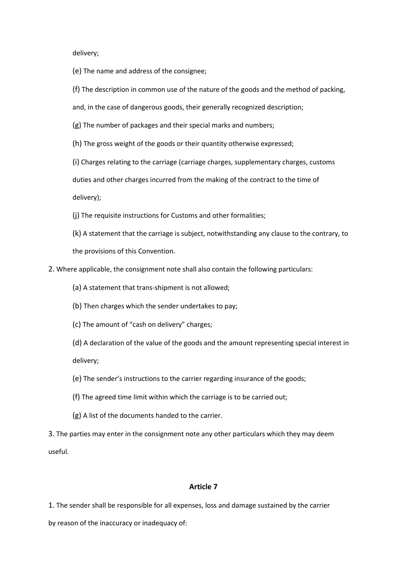delivery;

(e) The name and address of the consignee;

(f) The description in common use of the nature of the goods and the method of packing,

and, in the case of dangerous goods, their generally recognized description;

(g) The number of packages and their special marks and numbers;

(h) The gross weight of the goods or their quantity otherwise expressed;

(i) Charges relating to the carriage (carriage charges, supplementary charges, customs

duties and other charges incurred from the making of the contract to the time of

delivery);

(j) The requisite instructions for Customs and other formalities;

- (k) A statement that the carriage is subject, notwithstanding any clause to the contrary, to the provisions of this Convention.
- 2. Where applicable, the consignment note shall also contain the following particulars:

(a) A statement that trans-shipment is not allowed;

(b) Then charges which the sender undertakes to pay;

(c) The amount of "cash on delivery" charges;

- (d) A declaration of the value of the goods and the amount representing special interest in delivery;
- (e) The sender's instructions to the carrier regarding insurance of the goods;
- (f) The agreed time limit within which the carriage is to be carried out;
- (g) A list of the documents handed to the carrier.

3. The parties may enter in the consignment note any other particulars which they may deem useful.

# **Article 7**

1. The sender shall be responsible for all expenses, loss and damage sustained by the carrier

by reason of the inaccuracy or inadequacy of: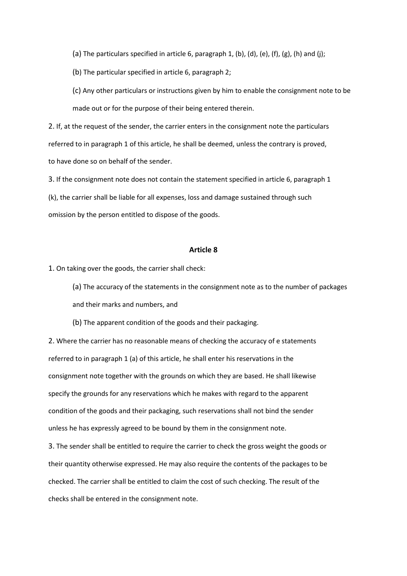(a) The particulars specified in article 6, paragraph 1, (b), (d), (e), (f), (g), (h) and (j);

(b) The particular specified in article 6, paragraph 2;

(c) Any other particulars or instructions given by him to enable the consignment note to be made out or for the purpose of their being entered therein.

2. If, at the request of the sender, the carrier enters in the consignment note the particulars referred to in paragraph 1 of this article, he shall be deemed, unless the contrary is proved, to have done so on behalf of the sender.

3. If the consignment note does not contain the statement specified in article 6, paragraph 1 (k), the carrier shall be liable for all expenses, loss and damage sustained through such omission by the person entitled to dispose of the goods.

#### **Article 8**

1. On taking over the goods, the carrier shall check:

(a) The accuracy of the statements in the consignment note as to the number of packages and their marks and numbers, and

(b) The apparent condition of the goods and their packaging.

2. Where the carrier has no reasonable means of checking the accuracy of e statements referred to in paragraph 1 (a) of this article, he shall enter his reservations in the consignment note together with the grounds on which they are based. He shall likewise specify the grounds for any reservations which he makes with regard to the apparent condition of the goods and their packaging, such reservations shall not bind the sender unless he has expressly agreed to be bound by them in the consignment note.

3. The sender shall be entitled to require the carrier to check the gross weight the goods or their quantity otherwise expressed. He may also require the contents of the packages to be checked. The carrier shall be entitled to claim the cost of such checking. The result of the checks shall be entered in the consignment note.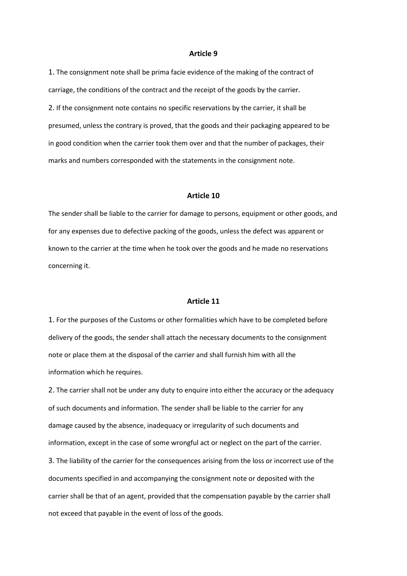1. The consignment note shall be prima facie evidence of the making of the contract of carriage, the conditions of the contract and the receipt of the goods by the carrier. 2. If the consignment note contains no specific reservations by the carrier, it shall be presumed, unless the contrary is proved, that the goods and their packaging appeared to be in good condition when the carrier took them over and that the number of packages, their marks and numbers corresponded with the statements in the consignment note.

#### **Article 10**

The sender shall be liable to the carrier for damage to persons, equipment or other goods, and for any expenses due to defective packing of the goods, unless the defect was apparent or known to the carrier at the time when he took over the goods and he made no reservations concerning it.

#### **Article 11**

1. For the purposes of the Customs or other formalities which have to be completed before delivery of the goods, the sender shall attach the necessary documents to the consignment note or place them at the disposal of the carrier and shall furnish him with all the information which he requires.

2. The carrier shall not be under any duty to enquire into either the accuracy or the adequacy of such documents and information. The sender shall be liable to the carrier for any damage caused by the absence, inadequacy or irregularity of such documents and information, except in the case of some wrongful act or neglect on the part of the carrier. 3. The liability of the carrier for the consequences arising from the loss or incorrect use of the documents specified in and accompanying the consignment note or deposited with the carrier shall be that of an agent, provided that the compensation payable by the carrier shall not exceed that payable in the event of loss of the goods.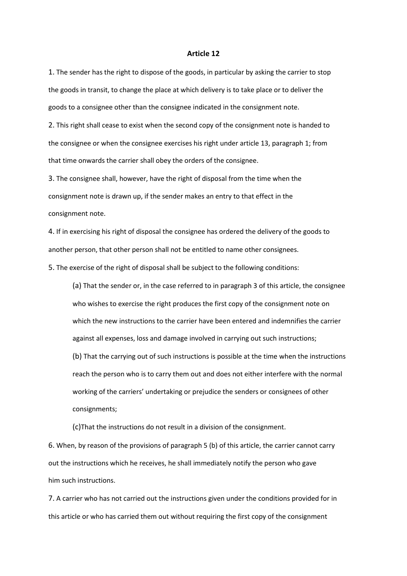1. The sender has the right to dispose of the goods, in particular by asking the carrier to stop the goods in transit, to change the place at which delivery is to take place or to deliver the goods to a consignee other than the consignee indicated in the consignment note.

2. This right shall cease to exist when the second copy of the consignment note is handed to the consignee or when the consignee exercises his right under article 13, paragraph 1; from that time onwards the carrier shall obey the orders of the consignee.

3. The consignee shall, however, have the right of disposal from the time when the consignment note is drawn up, if the sender makes an entry to that effect in the consignment note.

4. If in exercising his right of disposal the consignee has ordered the delivery of the goods to another person, that other person shall not be entitled to name other consignees.

5. The exercise of the right of disposal shall be subject to the following conditions:

(a) That the sender or, in the case referred to in paragraph 3 of this article, the consignee who wishes to exercise the right produces the first copy of the consignment note on which the new instructions to the carrier have been entered and indemnifies the carrier against all expenses, loss and damage involved in carrying out such instructions; (b) That the carrying out of such instructions is possible at the time when the instructions reach the person who is to carry them out and does not either interfere with the normal working of the carriers' undertaking or prejudice the senders or consignees of other consignments;

(c)That the instructions do not result in a division of the consignment.

6. When, by reason of the provisions of paragraph 5 (b) of this article, the carrier cannot carry out the instructions which he receives, he shall immediately notify the person who gave him such instructions.

7. A carrier who has not carried out the instructions given under the conditions provided for in this article or who has carried them out without requiring the first copy of the consignment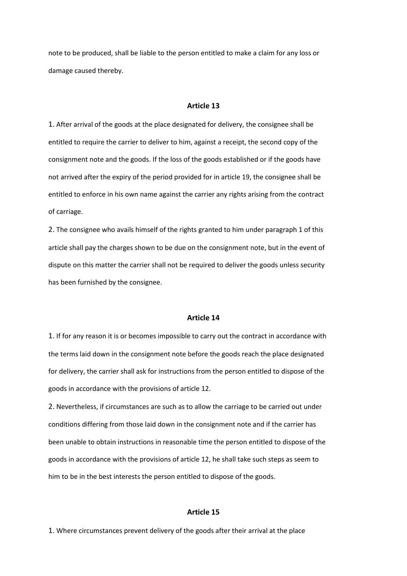note to be produced, shall be liable to the person entitled to make a claim for any loss or damage caused thereby.

#### **Article 13**

1. After arrival of the goods at the place designated for delivery, the consignee shall be entitled to require the carrier to deliver to him, against a receipt, the second copy of the consignment note and the goods. If the loss of the goods established or if the goods have not arrived after the expiry of the period provided for in article 19, the consignee shall be entitled to enforce in his own name against the carrier any rights arising from the contract of carriage.

2. The consignee who avails himself of the rights granted to him under paragraph 1 of this article shall pay the charges shown to be due on the consignment note, but in the event of dispute on this matter the carrier shall not be required to deliver the goods unless security has been furnished by the consignee.

### **Article 14**

1. If for any reason it is or becomes impossible to carry out the contract in accordance with the terms laid down in the consignment note before the goods reach the place designated for delivery, the carrier shall ask for instructions from the person entitled to dispose of the goods in accordance with the provisions of article 12.

2. Nevertheless, if circumstances are such as to allow the carriage to be carried out under conditions differing from those laid down in the consignment note and if the carrier has been unable to obtain instructions in reasonable time the person entitled to dispose of the goods in accordance with the provisions of article 12, he shall take such steps as seem to him to be in the best interests the person entitled to dispose of the goods.

# **Article 15**

1. Where circumstances prevent delivery of the goods after their arrival at the place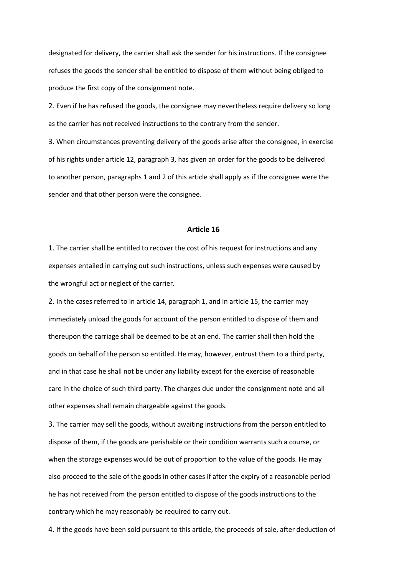designated for delivery, the carrier shall ask the sender for his instructions. If the consignee refuses the goods the sender shall be entitled to dispose of them without being obliged to produce the first copy of the consignment note.

2. Even if he has refused the goods, the consignee may nevertheless require delivery so long as the carrier has not received instructions to the contrary from the sender.

3. When circumstances preventing delivery of the goods arise after the consignee, in exercise of his rights under article 12, paragraph 3, has given an order for the goods to be delivered to another person, paragraphs 1 and 2 of this article shall apply as if the consignee were the sender and that other person were the consignee.

# **Article 16**

1. The carrier shall be entitled to recover the cost of his request for instructions and any expenses entailed in carrying out such instructions, unless such expenses were caused by the wrongful act or neglect of the carrier.

2. In the cases referred to in article 14, paragraph 1, and in article 15, the carrier may immediately unload the goods for account of the person entitled to dispose of them and thereupon the carriage shall be deemed to be at an end. The carrier shall then hold the goods on behalf of the person so entitled. He may, however, entrust them to a third party, and in that case he shall not be under any liability except for the exercise of reasonable care in the choice of such third party. The charges due under the consignment note and all other expenses shall remain chargeable against the goods.

3. The carrier may sell the goods, without awaiting instructions from the person entitled to dispose of them, if the goods are perishable or their condition warrants such a course, or when the storage expenses would be out of proportion to the value of the goods. He may also proceed to the sale of the goods in other cases if after the expiry of a reasonable period he has not received from the person entitled to dispose of the goods instructions to the contrary which he may reasonably be required to carry out.

4. If the goods have been sold pursuant to this article, the proceeds of sale, after deduction of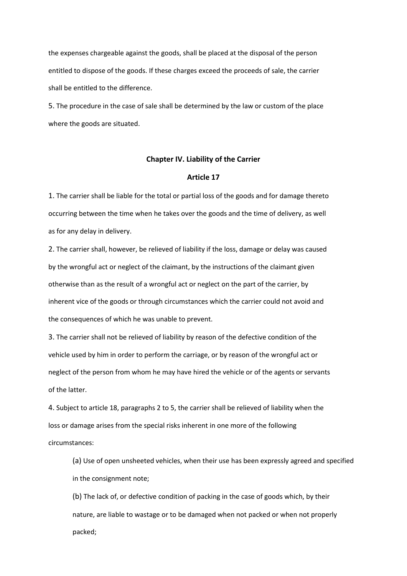the expenses chargeable against the goods, shall be placed at the disposal of the person entitled to dispose of the goods. If these charges exceed the proceeds of sale, the carrier shall be entitled to the difference.

5. The procedure in the case of sale shall be determined by the law or custom of the place where the goods are situated.

#### **Chapter IV. Liability of the Carrier**

#### **Article 17**

1. The carrier shall be liable for the total or partial loss of the goods and for damage thereto occurring between the time when he takes over the goods and the time of delivery, as well as for any delay in delivery.

2. The carrier shall, however, be relieved of liability if the loss, damage or delay was caused by the wrongful act or neglect of the claimant, by the instructions of the claimant given otherwise than as the result of a wrongful act or neglect on the part of the carrier, by inherent vice of the goods or through circumstances which the carrier could not avoid and the consequences of which he was unable to prevent.

3. The carrier shall not be relieved of liability by reason of the defective condition of the vehicle used by him in order to perform the carriage, or by reason of the wrongful act or neglect of the person from whom he may have hired the vehicle or of the agents or servants of the latter.

4. Subject to article 18, paragraphs 2 to 5, the carrier shall be relieved of liability when the loss or damage arises from the special risks inherent in one more of the following circumstances:

(a) Use of open unsheeted vehicles, when their use has been expressly agreed and specified in the consignment note;

(b) The lack of, or defective condition of packing in the case of goods which, by their nature, are liable to wastage or to be damaged when not packed or when not properly packed;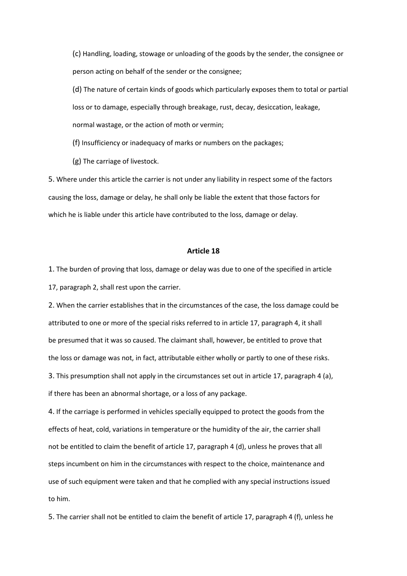(c) Handling, loading, stowage or unloading of the goods by the sender, the consignee or person acting on behalf of the sender or the consignee;

(d) The nature of certain kinds of goods which particularly exposes them to total or partial loss or to damage, especially through breakage, rust, decay, desiccation, leakage, normal wastage, or the action of moth or vermin;

(f) Insufficiency or inadequacy of marks or numbers on the packages;

(g) The carriage of livestock.

5. Where under this article the carrier is not under any liability in respect some of the factors causing the loss, damage or delay, he shall only be liable the extent that those factors for which he is liable under this article have contributed to the loss, damage or delay.

# **Article 18**

1. The burden of proving that loss, damage or delay was due to one of the specified in article 17, paragraph 2, shall rest upon the carrier.

2. When the carrier establishes that in the circumstances of the case, the loss damage could be attributed to one or more of the special risks referred to in article 17, paragraph 4, it shall be presumed that it was so caused. The claimant shall, however, be entitled to prove that the loss or damage was not, in fact, attributable either wholly or partly to one of these risks. 3. This presumption shall not apply in the circumstances set out in article 17, paragraph 4 (a), if there has been an abnormal shortage, or a loss of any package.

4. If the carriage is performed in vehicles specially equipped to protect the goods from the effects of heat, cold, variations in temperature or the humidity of the air, the carrier shall not be entitled to claim the benefit of article 17, paragraph 4 (d), unless he proves that all steps incumbent on him in the circumstances with respect to the choice, maintenance and use of such equipment were taken and that he complied with any special instructions issued to him.

5. The carrier shall not be entitled to claim the benefit of article 17, paragraph 4 (f), unless he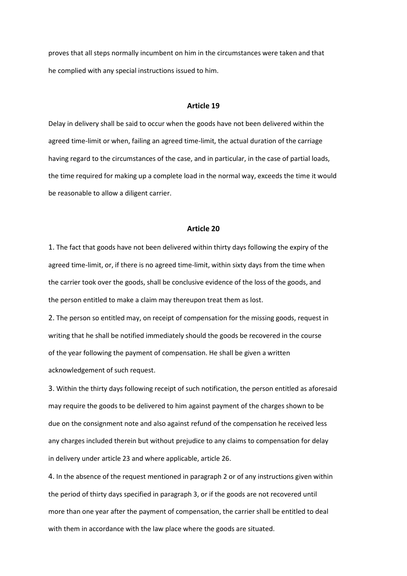proves that all steps normally incumbent on him in the circumstances were taken and that he complied with any special instructions issued to him.

#### **Article 19**

Delay in delivery shall be said to occur when the goods have not been delivered within the agreed time-limit or when, failing an agreed time-limit, the actual duration of the carriage having regard to the circumstances of the case, and in particular, in the case of partial loads, the time required for making up a complete load in the normal way, exceeds the time it would be reasonable to allow a diligent carrier.

#### **Article 20**

1. The fact that goods have not been delivered within thirty days following the expiry of the agreed time-limit, or, if there is no agreed time-limit, within sixty days from the time when the carrier took over the goods, shall be conclusive evidence of the loss of the goods, and the person entitled to make a claim may thereupon treat them as lost.

2. The person so entitled may, on receipt of compensation for the missing goods, request in writing that he shall be notified immediately should the goods be recovered in the course of the year following the payment of compensation. He shall be given a written acknowledgement of such request.

3. Within the thirty days following receipt of such notification, the person entitled as aforesaid may require the goods to be delivered to him against payment of the charges shown to be due on the consignment note and also against refund of the compensation he received less any charges included therein but without prejudice to any claims to compensation for delay in delivery under article 23 and where applicable, article 26.

4. In the absence of the request mentioned in paragraph 2 or of any instructions given within the period of thirty days specified in paragraph 3, or if the goods are not recovered until more than one year after the payment of compensation, the carrier shall be entitled to deal with them in accordance with the law place where the goods are situated.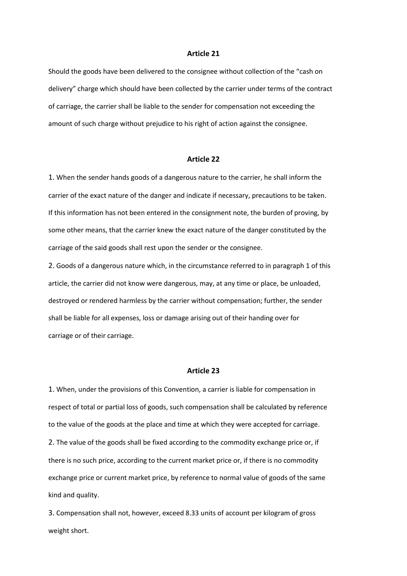Should the goods have been delivered to the consignee without collection of the "cash on delivery" charge which should have been collected by the carrier under terms of the contract of carriage, the carrier shall be liable to the sender for compensation not exceeding the amount of such charge without prejudice to his right of action against the consignee.

#### **Article 22**

1. When the sender hands goods of a dangerous nature to the carrier, he shall inform the carrier of the exact nature of the danger and indicate if necessary, precautions to be taken. If this information has not been entered in the consignment note, the burden of proving, by some other means, that the carrier knew the exact nature of the danger constituted by the carriage of the said goods shall rest upon the sender or the consignee.

2. Goods of a dangerous nature which, in the circumstance referred to in paragraph 1 of this article, the carrier did not know were dangerous, may, at any time or place, be unloaded, destroyed or rendered harmless by the carrier without compensation; further, the sender shall be liable for all expenses, loss or damage arising out of their handing over for carriage or of their carriage.

# **Article 23**

1. When, under the provisions of this Convention, a carrier is liable for compensation in respect of total or partial loss of goods, such compensation shall be calculated by reference to the value of the goods at the place and time at which they were accepted for carriage. 2. The value of the goods shall be fixed according to the commodity exchange price or, if there is no such price, according to the current market price or, if there is no commodity exchange price or current market price, by reference to normal value of goods of the same kind and quality.

3. Compensation shall not, however, exceed 8.33 units of account per kilogram of gross weight short.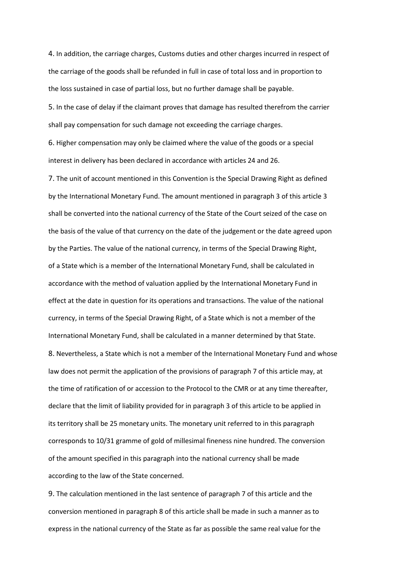4. In addition, the carriage charges, Customs duties and other charges incurred in respect of the carriage of the goods shall be refunded in full in case of total loss and in proportion to the loss sustained in case of partial loss, but no further damage shall be payable.

5. In the case of delay if the claimant proves that damage has resulted therefrom the carrier shall pay compensation for such damage not exceeding the carriage charges.

6. Higher compensation may only be claimed where the value of the goods or a special interest in delivery has been declared in accordance with articles 24 and 26.

7. The unit of account mentioned in this Convention is the Special Drawing Right as defined by the International Monetary Fund. The amount mentioned in paragraph 3 of this article 3 shall be converted into the national currency of the State of the Court seized of the case on the basis of the value of that currency on the date of the judgement or the date agreed upon by the Parties. The value of the national currency, in terms of the Special Drawing Right, of a State which is a member of the International Monetary Fund, shall be calculated in accordance with the method of valuation applied by the International Monetary Fund in effect at the date in question for its operations and transactions. The value of the national currency, in terms of the Special Drawing Right, of a State which is not a member of the International Monetary Fund, shall be calculated in a manner determined by that State. 8. Nevertheless, a State which is not a member of the International Monetary Fund and whose law does not permit the application of the provisions of paragraph 7 of this article may, at the time of ratification of or accession to the Protocol to the CMR or at any time thereafter, declare that the limit of liability provided for in paragraph 3 of this article to be applied in its territory shall be 25 monetary units. The monetary unit referred to in this paragraph corresponds to 10/31 gramme of gold of millesimal fineness nine hundred. The conversion of the amount specified in this paragraph into the national currency shall be made according to the law of the State concerned.

9. The calculation mentioned in the last sentence of paragraph 7 of this article and the conversion mentioned in paragraph 8 of this article shall be made in such a manner as to express in the national currency of the State as far as possible the same real value for the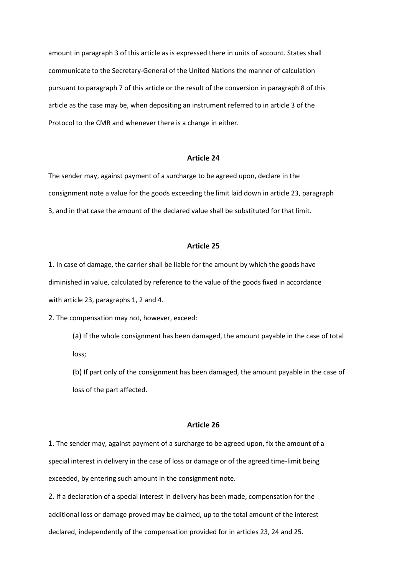amount in paragraph 3 of this article as is expressed there in units of account. States shall communicate to the Secretary-General of the United Nations the manner of calculation pursuant to paragraph 7 of this article or the result of the conversion in paragraph 8 of this article as the case may be, when depositing an instrument referred to in article 3 of the Protocol to the CMR and whenever there is a change in either.

# **Article 24**

The sender may, against payment of a surcharge to be agreed upon, declare in the consignment note a value for the goods exceeding the limit laid down in article 23, paragraph 3, and in that case the amount of the declared value shall be substituted for that limit.

# **Article 25**

1. In case of damage, the carrier shall be liable for the amount by which the goods have diminished in value, calculated by reference to the value of the goods fixed in accordance with article 23, paragraphs 1, 2 and 4.

2. The compensation may not, however, exceed:

(a) If the whole consignment has been damaged, the amount payable in the case of total loss;

(b) If part only of the consignment has been damaged, the amount payable in the case of loss of the part affected.

### **Article 26**

1. The sender may, against payment of a surcharge to be agreed upon, fix the amount of a special interest in delivery in the case of loss or damage or of the agreed time-limit being exceeded, by entering such amount in the consignment note.

2. If a declaration of a special interest in delivery has been made, compensation for the additional loss or damage proved may be claimed, up to the total amount of the interest declared, independently of the compensation provided for in articles 23, 24 and 25.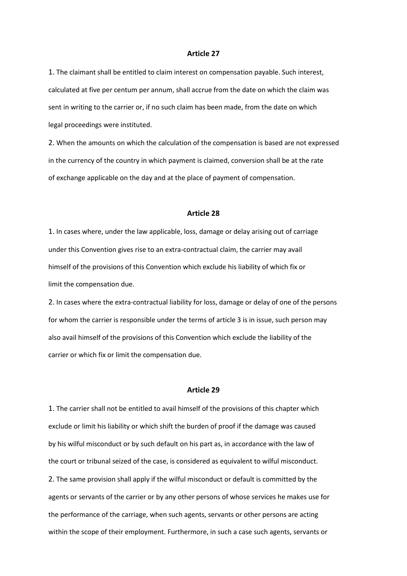1. The claimant shall be entitled to claim interest on compensation payable. Such interest, calculated at five per centum per annum, shall accrue from the date on which the claim was sent in writing to the carrier or, if no such claim has been made, from the date on which legal proceedings were instituted.

2. When the amounts on which the calculation of the compensation is based are not expressed in the currency of the country in which payment is claimed, conversion shall be at the rate of exchange applicable on the day and at the place of payment of compensation.

#### **Article 28**

1. In cases where, under the law applicable, loss, damage or delay arising out of carriage under this Convention gives rise to an extra-contractual claim, the carrier may avail himself of the provisions of this Convention which exclude his liability of which fix or limit the compensation due.

2. In cases where the extra-contractual liability for loss, damage or delay of one of the persons for whom the carrier is responsible under the terms of article 3 is in issue, such person may also avail himself of the provisions of this Convention which exclude the liability of the carrier or which fix or limit the compensation due.

### **Article 29**

1. The carrier shall not be entitled to avail himself of the provisions of this chapter which exclude or limit his liability or which shift the burden of proof if the damage was caused by his wilful misconduct or by such default on his part as, in accordance with the law of the court or tribunal seized of the case, is considered as equivalent to wilful misconduct. 2. The same provision shall apply if the wilful misconduct or default is committed by the agents or servants of the carrier or by any other persons of whose services he makes use for the performance of the carriage, when such agents, servants or other persons are acting within the scope of their employment. Furthermore, in such a case such agents, servants or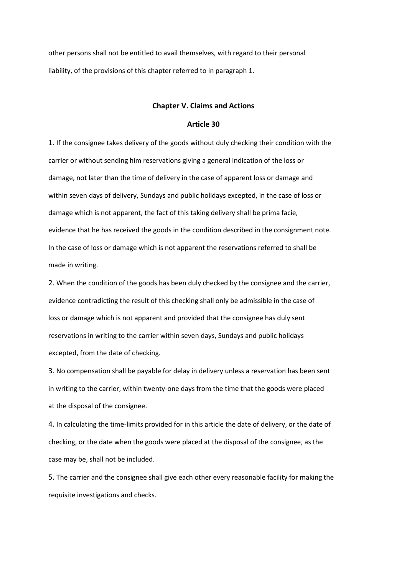other persons shall not be entitled to avail themselves, with regard to their personal liability, of the provisions of this chapter referred to in paragraph 1.

#### **Chapter V. Claims and Actions**

### **Article 30**

1. If the consignee takes delivery of the goods without duly checking their condition with the carrier or without sending him reservations giving a general indication of the loss or damage, not later than the time of delivery in the case of apparent loss or damage and within seven days of delivery, Sundays and public holidays excepted, in the case of loss or damage which is not apparent, the fact of this taking delivery shall be prima facie, evidence that he has received the goods in the condition described in the consignment note. In the case of loss or damage which is not apparent the reservations referred to shall be made in writing.

2. When the condition of the goods has been duly checked by the consignee and the carrier, evidence contradicting the result of this checking shall only be admissible in the case of loss or damage which is not apparent and provided that the consignee has duly sent reservations in writing to the carrier within seven days, Sundays and public holidays excepted, from the date of checking.

3. No compensation shall be payable for delay in delivery unless a reservation has been sent in writing to the carrier, within twenty-one days from the time that the goods were placed at the disposal of the consignee.

4. In calculating the time-limits provided for in this article the date of delivery, or the date of checking, or the date when the goods were placed at the disposal of the consignee, as the case may be, shall not be included.

5. The carrier and the consignee shall give each other every reasonable facility for making the requisite investigations and checks.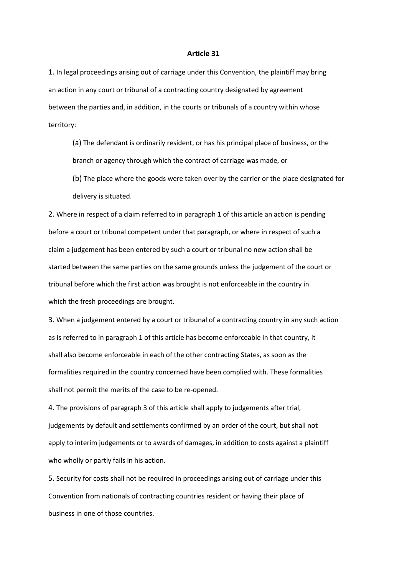1. In legal proceedings arising out of carriage under this Convention, the plaintiff may bring an action in any court or tribunal of a contracting country designated by agreement between the parties and, in addition, in the courts or tribunals of a country within whose territory:

(a) The defendant is ordinarily resident, or has his principal place of business, or the branch or agency through which the contract of carriage was made, or

(b) The place where the goods were taken over by the carrier or the place designated for delivery is situated.

2. Where in respect of a claim referred to in paragraph 1 of this article an action is pending before a court or tribunal competent under that paragraph, or where in respect of such a claim a judgement has been entered by such a court or tribunal no new action shall be started between the same parties on the same grounds unless the judgement of the court or tribunal before which the first action was brought is not enforceable in the country in which the fresh proceedings are brought.

3. When a judgement entered by a court or tribunal of a contracting country in any such action as is referred to in paragraph 1 of this article has become enforceable in that country, it shall also become enforceable in each of the other contracting States, as soon as the formalities required in the country concerned have been complied with. These formalities shall not permit the merits of the case to be re-opened.

4. The provisions of paragraph 3 of this article shall apply to judgements after trial, judgements by default and settlements confirmed by an order of the court, but shall not apply to interim judgements or to awards of damages, in addition to costs against a plaintiff who wholly or partly fails in his action.

5. Security for costs shall not be required in proceedings arising out of carriage under this Convention from nationals of contracting countries resident or having their place of business in one of those countries.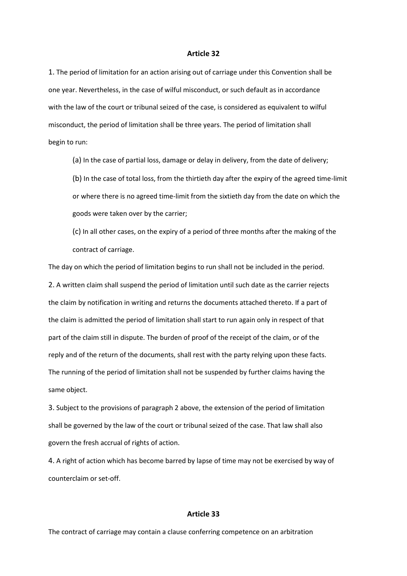1. The period of limitation for an action arising out of carriage under this Convention shall be one year. Nevertheless, in the case of wilful misconduct, or such default as in accordance with the law of the court or tribunal seized of the case, is considered as equivalent to wilful misconduct, the period of limitation shall be three years. The period of limitation shall begin to run:

(a) In the case of partial loss, damage or delay in delivery, from the date of delivery; (b) In the case of total loss, from the thirtieth day after the expiry of the agreed time-limit or where there is no agreed time-limit from the sixtieth day from the date on which the goods were taken over by the carrier;

(c) In all other cases, on the expiry of a period of three months after the making of the contract of carriage.

The day on which the period of limitation begins to run shall not be included in the period. 2. A written claim shall suspend the period of limitation until such date as the carrier rejects the claim by notification in writing and returns the documents attached thereto. If a part of the claim is admitted the period of limitation shall start to run again only in respect of that part of the claim still in dispute. The burden of proof of the receipt of the claim, or of the reply and of the return of the documents, shall rest with the party relying upon these facts. The running of the period of limitation shall not be suspended by further claims having the same object.

3. Subject to the provisions of paragraph 2 above, the extension of the period of limitation shall be governed by the law of the court or tribunal seized of the case. That law shall also govern the fresh accrual of rights of action.

4. A right of action which has become barred by lapse of time may not be exercised by way of counterclaim or set-off.

# **Article 33**

The contract of carriage may contain a clause conferring competence on an arbitration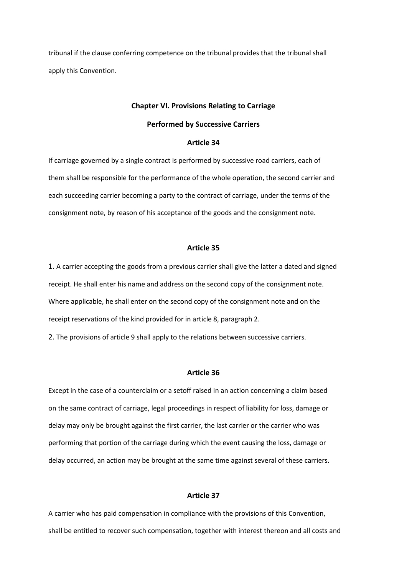tribunal if the clause conferring competence on the tribunal provides that the tribunal shall apply this Convention.

#### **Chapter VI. Provisions Relating to Carriage**

#### **Performed by Successive Carriers**

### **Article 34**

If carriage governed by a single contract is performed by successive road carriers, each of them shall be responsible for the performance of the whole operation, the second carrier and each succeeding carrier becoming a party to the contract of carriage, under the terms of the consignment note, by reason of his acceptance of the goods and the consignment note.

### **Article 35**

1. A carrier accepting the goods from a previous carrier shall give the latter a dated and signed receipt. He shall enter his name and address on the second copy of the consignment note. Where applicable, he shall enter on the second copy of the consignment note and on the receipt reservations of the kind provided for in article 8, paragraph 2.

2. The provisions of article 9 shall apply to the relations between successive carriers.

### **Article 36**

Except in the case of a counterclaim or a setoff raised in an action concerning a claim based on the same contract of carriage, legal proceedings in respect of liability for loss, damage or delay may only be brought against the first carrier, the last carrier or the carrier who was performing that portion of the carriage during which the event causing the loss, damage or delay occurred, an action may be brought at the same time against several of these carriers.

#### **Article 37**

A carrier who has paid compensation in compliance with the provisions of this Convention, shall be entitled to recover such compensation, together with interest thereon and all costs and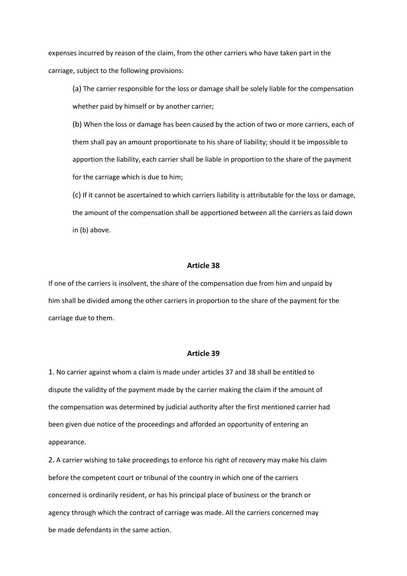expenses incurred by reason of the claim, from the other carriers who have taken part in the carriage, subject to the following provisions:

(a) The carrier responsible for the loss or damage shall be solely liable for the compensation whether paid by himself or by another carrier;

(b) When the loss or damage has been caused by the action of two or more carriers, each of them shall pay an amount proportionate to his share of liability; should it be impossible to apportion the liability, each carrier shall be liable in proportion to the share of the payment for the carriage which is due to him;

(c) If it cannot be ascertained to which carriers liability is attributable for the loss or damage, the amount of the compensation shall be apportioned between all the carriers as laid down in (b) above.

# **Article 38**

If one of the carriers is insolvent, the share of the compensation due from him and unpaid by him shall be divided among the other carriers in proportion to the share of the payment for the carriage due to them.

#### **Article 39**

1. No carrier against whom a claim is made under articles 37 and 38 shall be entitled to dispute the validity of the payment made by the carrier making the claim if the amount of the compensation was determined by judicial authority after the first mentioned carrier had been given due notice of the proceedings and afforded an opportunity of entering an appearance.

2. A carrier wishing to take proceedings to enforce his right of recovery may make his claim before the competent court or tribunal of the country in which one of the carriers concerned is ordinarily resident, or has his principal place of business or the branch or agency through which the contract of carriage was made. All the carriers concerned may be made defendants in the same action.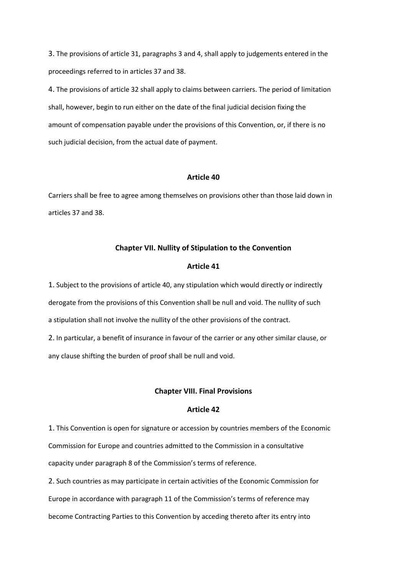3. The provisions of article 31, paragraphs 3 and 4, shall apply to judgements entered in the proceedings referred to in articles 37 and 38.

4. The provisions of article 32 shall apply to claims between carriers. The period of limitation shall, however, begin to run either on the date of the final judicial decision fixing the amount of compensation payable under the provisions of this Convention, or, if there is no such judicial decision, from the actual date of payment.

# **Article 40**

Carriers shall be free to agree among themselves on provisions other than those laid down in articles 37 and 38.

# **Chapter VII. Nullity of Stipulation to the Convention**

# **Article 41**

1. Subject to the provisions of article 40, any stipulation which would directly or indirectly derogate from the provisions of this Convention shall be null and void. The nullity of such a stipulation shall not involve the nullity of the other provisions of the contract.

2. In particular, a benefit of insurance in favour of the carrier or any other similar clause, or any clause shifting the burden of proof shall be null and void.

#### **Chapter VIII. Final Provisions**

# **Article 42**

1. This Convention is open for signature or accession by countries members of the Economic Commission for Europe and countries admitted to the Commission in a consultative capacity under paragraph 8 of the Commission's terms of reference.

2. Such countries as may participate in certain activities of the Economic Commission for Europe in accordance with paragraph 11 of the Commission's terms of reference may become Contracting Parties to this Convention by acceding thereto after its entry into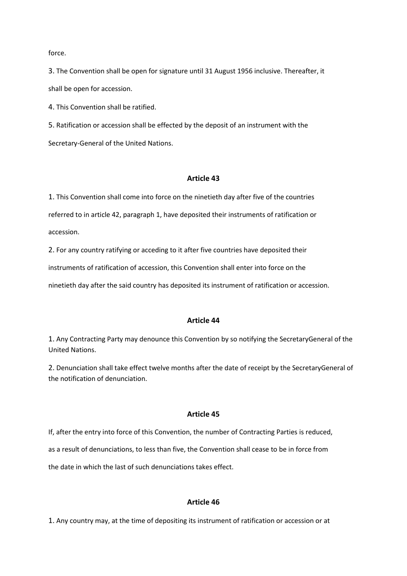force.

3. The Convention shall be open for signature until 31 August 1956 inclusive. Thereafter, it shall be open for accession.

4. This Convention shall be ratified.

5. Ratification or accession shall be effected by the deposit of an instrument with the Secretary-General of the United Nations.

# **Article 43**

1. This Convention shall come into force on the ninetieth day after five of the countries referred to in article 42, paragraph 1, have deposited their instruments of ratification or accession.

2. For any country ratifying or acceding to it after five countries have deposited their

instruments of ratification of accession, this Convention shall enter into force on the

ninetieth day after the said country has deposited its instrument of ratification or accession.

### **Article 44**

1. Any Contracting Party may denounce this Convention by so notifying the SecretaryGeneral of the United Nations.

2. Denunciation shall take effect twelve months after the date of receipt by the SecretaryGeneral of the notification of denunciation.

#### **Article 45**

If, after the entry into force of this Convention, the number of Contracting Parties is reduced, as a result of denunciations, to less than five, the Convention shall cease to be in force from

the date in which the last of such denunciations takes effect.

# **Article 46**

1. Any country may, at the time of depositing its instrument of ratification or accession or at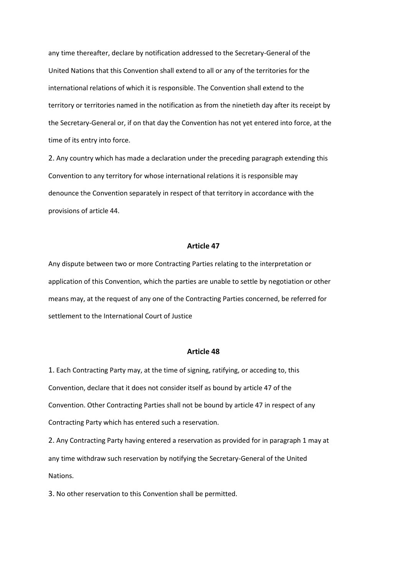any time thereafter, declare by notification addressed to the Secretary-General of the United Nations that this Convention shall extend to all or any of the territories for the international relations of which it is responsible. The Convention shall extend to the territory or territories named in the notification as from the ninetieth day after its receipt by the Secretary-General or, if on that day the Convention has not yet entered into force, at the time of its entry into force.

2. Any country which has made a declaration under the preceding paragraph extending this Convention to any territory for whose international relations it is responsible may denounce the Convention separately in respect of that territory in accordance with the provisions of article 44.

### **Article 47**

Any dispute between two or more Contracting Parties relating to the interpretation or application of this Convention, which the parties are unable to settle by negotiation or other means may, at the request of any one of the Contracting Parties concerned, be referred for settlement to the International Court of Justice

#### **Article 48**

1. Each Contracting Party may, at the time of signing, ratifying, or acceding to, this Convention, declare that it does not consider itself as bound by article 47 of the Convention. Other Contracting Parties shall not be bound by article 47 in respect of any Contracting Party which has entered such a reservation.

2. Any Contracting Party having entered a reservation as provided for in paragraph 1 may at any time withdraw such reservation by notifying the Secretary-General of the United Nations.

3. No other reservation to this Convention shall be permitted.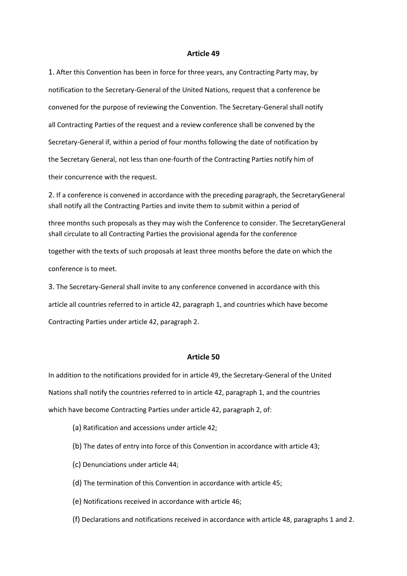1. After this Convention has been in force for three years, any Contracting Party may, by notification to the Secretary-General of the United Nations, request that a conference be convened for the purpose of reviewing the Convention. The Secretary-General shall notify all Contracting Parties of the request and a review conference shall be convened by the Secretary-General if, within a period of four months following the date of notification by the Secretary General, not less than one-fourth of the Contracting Parties notify him of their concurrence with the request.

2. If a conference is convened in accordance with the preceding paragraph, the SecretaryGeneral shall notify all the Contracting Parties and invite them to submit within a period of

three months such proposals as they may wish the Conference to consider. The SecretaryGeneral shall circulate to all Contracting Parties the provisional agenda for the conference

together with the texts of such proposals at least three months before the date on which the conference is to meet.

3. The Secretary-General shall invite to any conference convened in accordance with this article all countries referred to in article 42, paragraph 1, and countries which have become Contracting Parties under article 42, paragraph 2.

#### **Article 50**

In addition to the notifications provided for in article 49, the Secretary-General of the United Nations shall notify the countries referred to in article 42, paragraph 1, and the countries which have become Contracting Parties under article 42, paragraph 2, of:

- (a) Ratification and accessions under article 42;
- (b) The dates of entry into force of this Convention in accordance with article 43;
- (c) Denunciations under article 44;
- (d) The termination of this Convention in accordance with article 45;
- (e) Notifications received in accordance with article 46;
- (f) Declarations and notifications received in accordance with article 48, paragraphs 1 and 2.